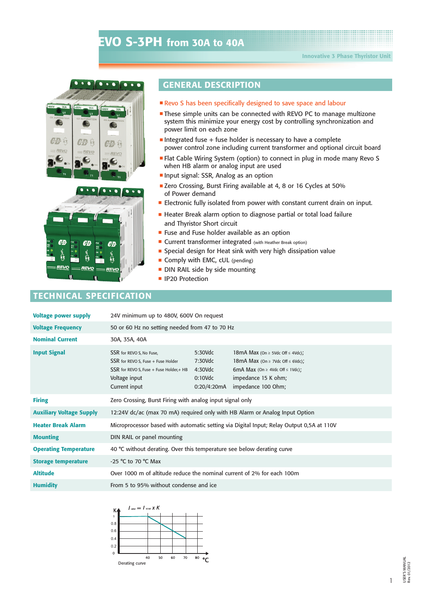





## **GENERAL DESCRIPTION**

- Revo S has been specifically designed to save space and labour
- These simple units can be connected with REVO PC to manage multizone system this minimize your energy cost by controlling synchronization and power limit on each zone
- Integrated fuse + fuse holder is necessary to have a complete power control zone including current transformer and optional circuit board
- **Flat Cable Wiring System (option) to connect in plug in mode many Revo S** when HB alarm or analog input are used
- **Input signal: SSR, Analog as an option**
- E Zero Crossing, Burst Firing available at 4, 8 or 16 Cycles at 50% of Power demand
- **Electronic fully isolated from power with constant current drain on input.**
- Heater Break alarm option to diagnose partial or total load failure and Thyristor Short circuit
- **F** Fuse and Fuse holder available as an option
- **Current transformer integrated** (with Heather Break option)
- Special design for Heat sink with very high dissipation value
- Comply with EMC, cUL (pending)
- DIN RAIL side by side mounting
- **I** IP20 Protection

## **TECHNICAL SPECIFICATION**

| <b>Voltage power supply</b>     | 24V minimum up to 480V, 600V On request                                                                                                      |                                                               |                                                                                                                                                                                    |  |  |  |  |
|---------------------------------|----------------------------------------------------------------------------------------------------------------------------------------------|---------------------------------------------------------------|------------------------------------------------------------------------------------------------------------------------------------------------------------------------------------|--|--|--|--|
| <b>Voltage Frequency</b>        | 50 or 60 Hz no setting needed from 47 to 70 Hz                                                                                               |                                                               |                                                                                                                                                                                    |  |  |  |  |
| <b>Nominal Current</b>          | 30A, 35A, 40A                                                                                                                                |                                                               |                                                                                                                                                                                    |  |  |  |  |
| <b>Input Signal</b>             | SSR for REVO S, No Fuse,<br>SSR for REVO S, Fuse + Fuse Holder<br>SSR for REVO S, Fuse + Fuse Holder, + HB<br>Voltage input<br>Current input | 5:30Vdc<br>7:30Vdc<br>$4:30$ Vdc<br>$0:10$ Vdc<br>0:20/4:20mA | 18mA Max (On $\geq$ 5Vdc Off $\leq$ 4Vdc);<br>18mA Max (On $\geq$ 7Vdc Off $\leq$ 6Vdc);<br>6mA Max (On $\geq$ 4Vdc Off $\leq$ 1Vdc);<br>impedance 15 K ohm;<br>impedance 100 Ohm; |  |  |  |  |
| <b>Firing</b>                   | Zero Crossing, Burst Firing with analog input signal only                                                                                    |                                                               |                                                                                                                                                                                    |  |  |  |  |
| <b>Auxiliary Voltage Supply</b> | 12:24V dc/ac (max 70 mA) required only with HB Alarm or Analog Input Option                                                                  |                                                               |                                                                                                                                                                                    |  |  |  |  |
| <b>Heater Break Alarm</b>       | Microprocessor based with automatic setting via Digital Input; Relay Output 0,5A at 110V                                                     |                                                               |                                                                                                                                                                                    |  |  |  |  |
| <b>Mounting</b>                 | DIN RAIL or panel mounting                                                                                                                   |                                                               |                                                                                                                                                                                    |  |  |  |  |
| <b>Operating Temperature</b>    | 40 °C without derating. Over this temperature see below derating curve                                                                       |                                                               |                                                                                                                                                                                    |  |  |  |  |
| <b>Storage temperature</b>      | -25 °C to 70 °C Max                                                                                                                          |                                                               |                                                                                                                                                                                    |  |  |  |  |
| <b>Altitude</b>                 | Over 1000 m of altitude reduce the nominal current of 2% for each 100m                                                                       |                                                               |                                                                                                                                                                                    |  |  |  |  |
| <b>Humidity</b>                 | From 5 to 95% without condense and ice                                                                                                       |                                                               |                                                                                                                                                                                    |  |  |  |  |



1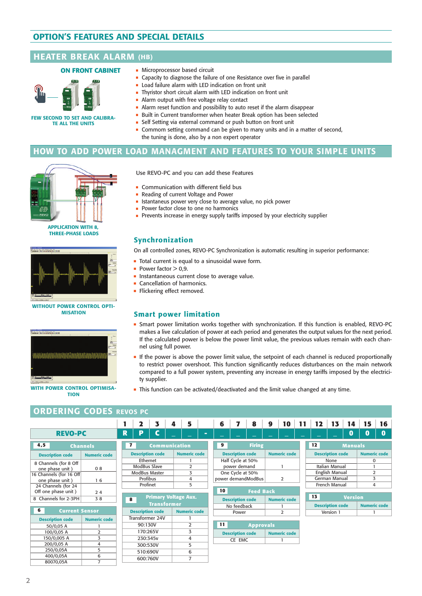# **OPTION'S FEATURES AND SPECIAL DETAILS OPTION'S FEATURES AND SPECIAL DETAILS**

### **HEATER BREAK ALARM (HB) (HB)**

#### **ON FRONT CABINET**



**FEW SECOND TO SET AND CALIBRA-TE ALL THE UNITS**

- **Microprocessor based circuit**
- **Capacity to diagnose the failure of one Resistance over five in parallel**
- **Example 1** Load failure alarm with LED indication on front unit
- **Thyristor short circuit alarm with LED indication on front unit**
- Alarm output with free voltage relay contact
- Alarm reset function and possibility to auto reset if the alarm disappear
- Built in Current transformer when heater Break option has been selected
	- **-** Self Setting via external command or push button on front unit
	- Commom setting command can be given to many units and in a matter of second, the tuning is done, also by a non expert operator

## **BURST FIRING HOW TO ADD POWER LOAD MANAGMENT AND FEATURES TO YOUR SIMPLE UNITS**



**APPLICATION WITH 8, THREE-PHASE LOADS**



**WITHOUT POWER CONTROL OPTI-MISATION**



**WITH POWER CONTROL OPTIMISA-TION**

Use REVO-PC and you can add these Features

- **Communication with different field bus**
- **Reading of current Voltage and Power**
- **EXECTE ISTENDING ISLANDING** Istantaneus power very close to average value, no pick power
- Power factor close to one no harmonics
- Prevents increase in energy supply tariffs imposed by your electricity supplier

#### **Synchronization**

On all controlled zones, REVO-PC Synchronization is automatic resulting in superior performance:

- $\blacksquare$  Total current is equal to a sinusoidal wave form.
- Power factor  $> 0.9$ .
- **Instantaneous current close to average value.**
- **Cancellation of harmonics.**
- **Flickering effect removed.**

#### **Smart power limitation**

- <sup>g</sup> Smart power limitation works together with synchronization. If this function is enabled, REVO-PC makes a live calculation of power at each period and generates the output values for the next period. If the calculated power is below the power limit value, the previous values remain with each channel using full power.
- **If the power is above the power limit value, the setpoint of each channel is reduced proportionally** to restrict power overshoot. This function significantly reduces disturbances on the main network compared to a full power system, preventing any increase in energy tariffs imposed by the electricity supplier.

**Description code Numeric code**

code

**This function can be activated/deactivated and the limit value changed at any time.** 

## **ORDERING CODES REVOS PC**

|                                             |                     |                         | 2                        | 3                           | 4 | 5                   |   | 6  |                                   | 8                  | 9 | 10                  | 11 | 12 | 13                              | 14             | 15                  | 16       |
|---------------------------------------------|---------------------|-------------------------|--------------------------|-----------------------------|---|---------------------|---|----|-----------------------------------|--------------------|---|---------------------|----|----|---------------------------------|----------------|---------------------|----------|
| <b>REVO-PC</b>                              |                     | R                       | P                        | C                           |   |                     | - |    |                                   |                    |   |                     |    |    |                                 | 0              | $\bf{0}$            | $\bf{0}$ |
| 4,5                                         | <b>Channels</b>     | $\mathbf{z}$            |                          | Communication               |   |                     |   | 9  |                                   | <b>Firing</b>      |   |                     |    | 12 |                                 | <b>Manuals</b> |                     |          |
| <b>Description code</b>                     | <b>Numeric code</b> |                         |                          | <b>Description code</b>     |   | <b>Numeric code</b> |   |    | <b>Description code</b>           |                    |   | <b>Numeric code</b> |    |    | <b>Description code</b>         |                | <b>Numeric code</b> |          |
| 8 Channels (for 8 Off<br>one phase unit)    | 08                  |                         | Ethernet<br>ModBus Slave |                             |   | 2                   |   |    | Half Cycle at 50%<br>power demand |                    |   |                     |    |    | None<br><b>Italian Manual</b>   |                | 0                   |          |
| 16 Channels (for 16 Off<br>one phase unit)  | 6                   |                         | Profibus                 | ModBus Master               |   | 3<br>4              |   |    | One Cycle at 50%                  | power demandModBus |   | 2                   |    |    | English Manual<br>German Manual |                | $\overline{2}$<br>3 |          |
| 24 Channels (for 24                         |                     |                         | Profinet                 |                             |   | 5                   |   |    |                                   |                    |   |                     |    |    | French Manual                   |                | 4                   |          |
| Off one phase unit)<br>8 Channels for 2-3PH | 24<br>38            | $\overline{\mathbf{8}}$ |                          | <b>Primary Voltage Aux.</b> |   |                     |   | 10 | <b>Description code</b>           | <b>Feed Back</b>   |   | <b>Numeric code</b> |    | 13 |                                 | <b>Version</b> |                     |          |
| 6                                           |                     |                         |                          | <b>Transformer</b>          |   |                     |   |    | No feedback                       |                    |   |                     |    |    | <b>Description code</b>         |                | <b>Numeric code</b> |          |
| <b>Current Sensor</b>                       |                     |                         |                          | <b>Description code</b>     |   | <b>Numeric code</b> |   |    | Power                             |                    |   | 2                   |    |    | Version 1                       |                |                     |          |
| <b>Description code</b>                     | <b>Numeric code</b> |                         |                          | Transformer 24V             |   |                     |   |    |                                   |                    |   |                     |    |    |                                 |                |                     |          |
| 50/0,05 A                                   |                     |                         | 90:130V                  |                             |   | 2                   |   | 11 |                                   | <b>Approvals</b>   |   |                     |    |    |                                 |                |                     |          |
| 100/0,05 A                                  | 2                   |                         | 170:265V                 |                             |   | 3                   |   |    | <b>Description code</b>           |                    |   | <b>Numeric code</b> |    |    |                                 |                |                     |          |
| 150/0,005 A                                 | 3                   |                         | 230:345v                 |                             |   | 4                   |   |    | CE EMC                            |                    |   |                     |    |    |                                 |                |                     |          |
| 200/0,05 A                                  | 4                   |                         | 300:530V                 |                             |   | 5                   |   |    |                                   |                    |   |                     |    |    |                                 |                |                     |          |
| 250/0,05A                                   | 5                   |                         | 510:690V                 |                             |   | 6                   |   |    |                                   |                    |   |                     |    |    |                                 |                |                     |          |
| 400/0,05A                                   | 6                   |                         | 600:760V                 |                             |   | 7                   |   |    |                                   |                    |   |                     |    |    |                                 |                |                     |          |
| 80070.05A                                   | $\overline{7}$      |                         |                          |                             |   |                     |   |    |                                   |                    |   |                     |    |    |                                 |                |                     |          |

80070,05A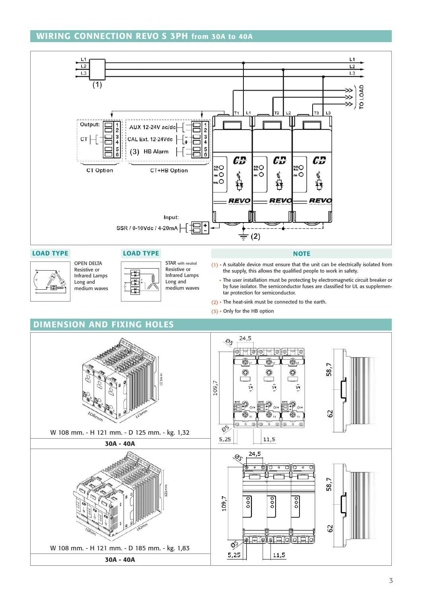## **WIRING CONNECTION REVO S 3PH from 30A to 40A**